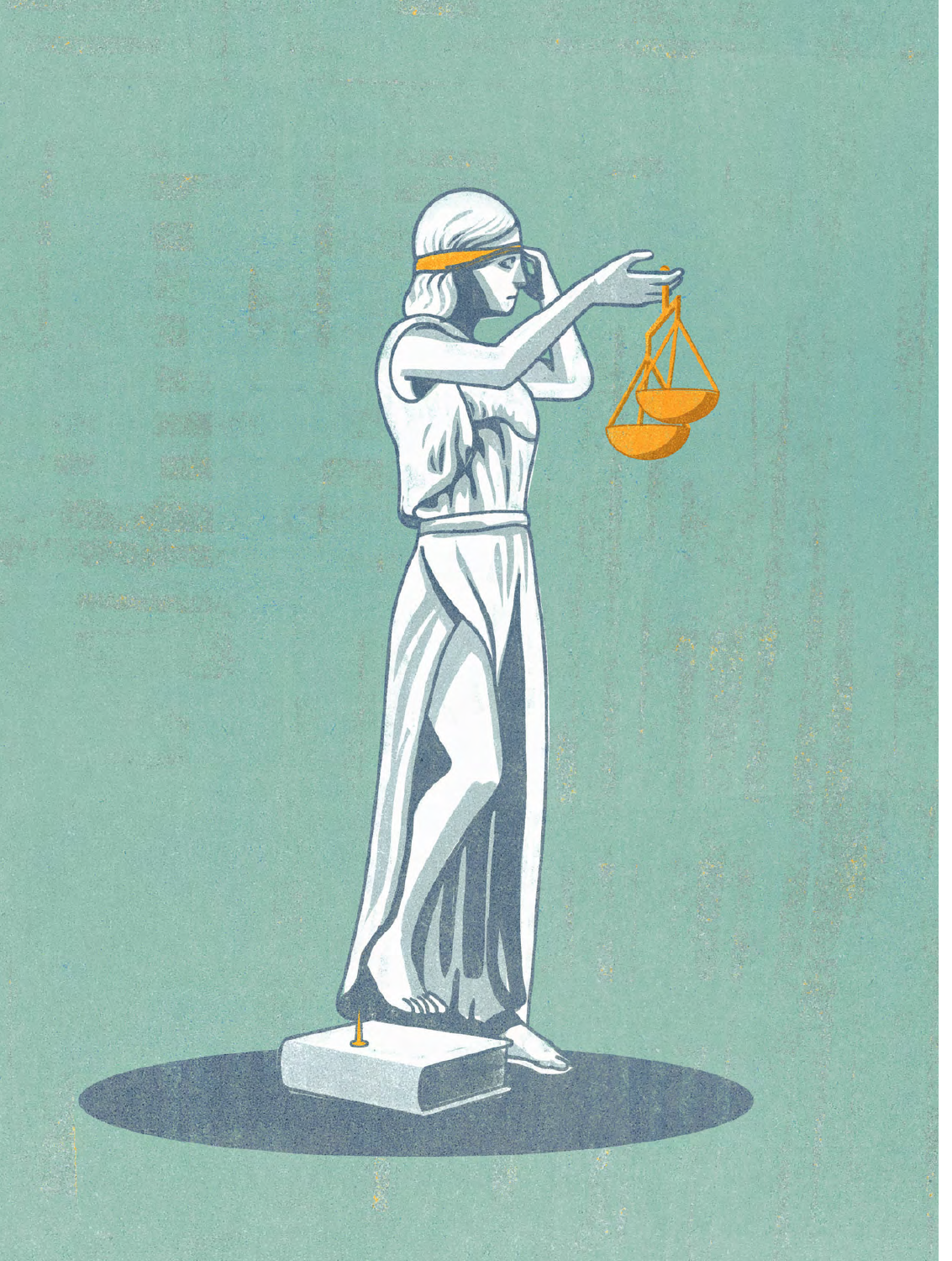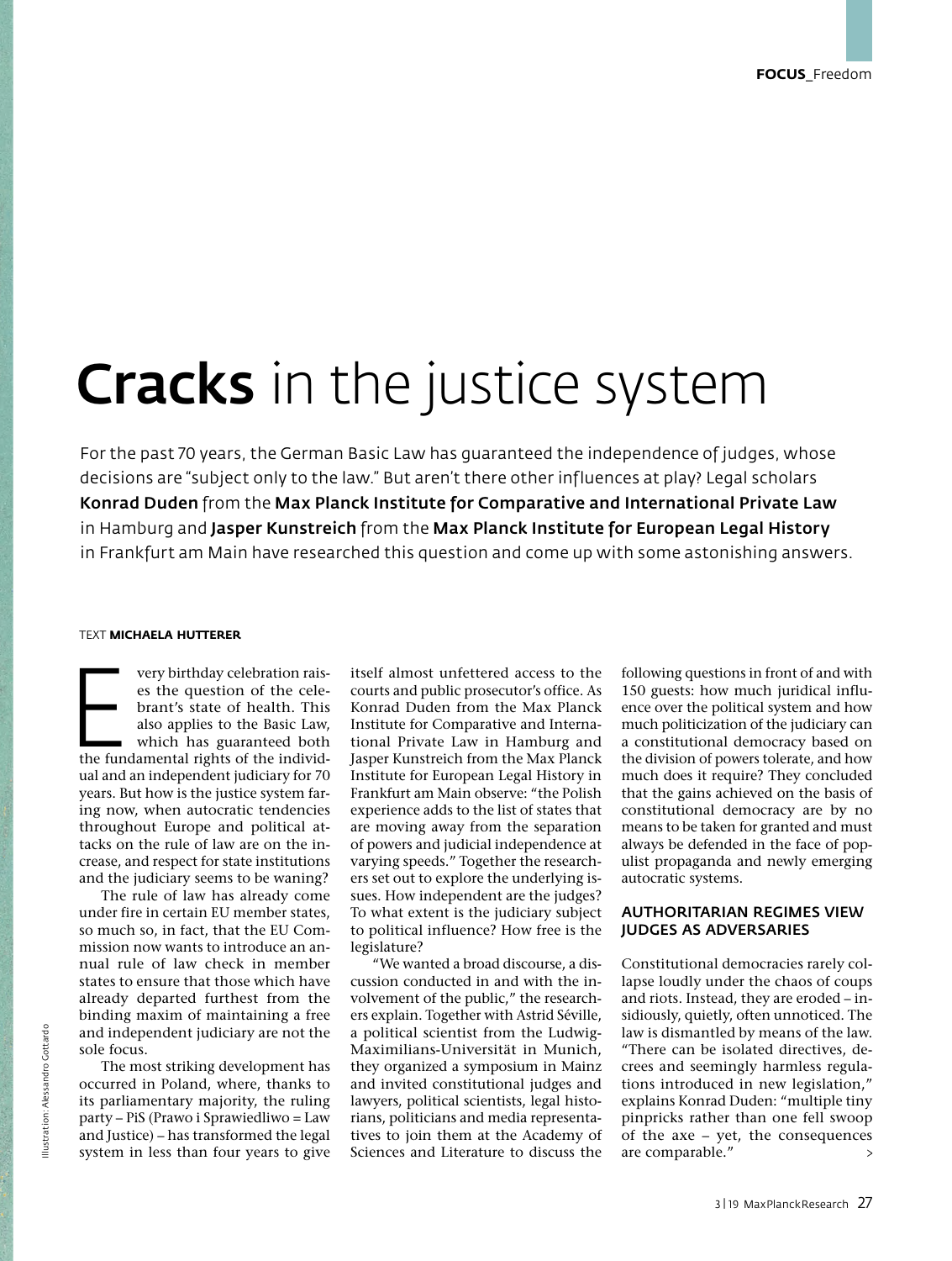# **Cracks** in the justice system

For the past 70 years, the German Basic Law has guaranteed the independence of judges, whose decisions are "subject only to the law." But aren't there other influences at play? Legal scholars Konrad Duden from the Max Planck Institute for Comparative and International Private Law in Hamburg and Jasper Kunstreich from the Max Planck Institute for European Legal History in Frankfurt am Main have researched this question and come up with some astonishing answers.

#### TEXT **MICHAELA HUTTERER**

very birthday celebration raises the question of the celebrant's state of health. This also applies to the Basic Law, which has guaranteed both the fundamental rights of the individes the question of the celebrant's state of health. This also applies to the Basic Law, which has guaranteed both ual and an independent judiciary for 70 years. But how is the justice system faring now, when autocratic tendencies throughout Europe and political attacks on the rule of law are on the increase, and respect for state institutions and the judiciary seems to be waning?

The rule of law has already come under fire in certain EU member states, so much so, in fact, that the EU Commission now wants to introduce an annual rule of law check in member states to ensure that those which have already departed furthest from the binding maxim of maintaining a free and independent judiciary are not the sole focus.

The most striking development has occurred in Poland, where, thanks to its parliamentary majority, the ruling party – PiS (Prawo i Sprawiedliwo = Law and Justice) – has transformed the legal system in less than four years to give itself almost unfettered access to the courts and public prosecutor's office. As Konrad Duden from the Max Planck Institute for Comparative and International Private Law in Hamburg and Jasper Kunstreich from the Max Planck Institute for European Legal History in Frankfurt am Main observe: "the Polish experience adds to the list of states that are moving away from the separation of powers and judicial independence at varying speeds." Together the researchers set out to explore the underlying issues. How independent are the judges? To what extent is the judiciary subject to political influence? How free is the legislature?

"We wanted a broad discourse, a discussion conducted in and with the involvement of the public," the researchers explain. Together with Astrid Séville, a political scientist from the Ludwig-Maximilians-Universität in Munich, they organized a symposium in Mainz and invited constitutional judges and lawyers, political scientists, legal historians, politicians and media representatives to join them at the Academy of Sciences and Literature to discuss the

following questions in front of and with 150 guests: how much juridical influence over the political system and how much politicization of the judiciary can a constitutional democracy based on the division of powers tolerate, and how much does it require? They concluded that the gains achieved on the basis of constitutional democracy are by no means to be taken for granted and must always be defended in the face of populist propaganda and newly emerging autocratic systems.

#### AUTHORITARIAN REGIMES VIEW JUDGES AS ADVERSARIES

Constitutional democracies rarely collapse loudly under the chaos of coups and riots. Instead, they are eroded – insidiously, quietly, often unnoticed. The law is dismantled by means of the law. "There can be isolated directives, decrees and seemingly harmless regulations introduced in new legislation," explains Konrad Duden: "multiple tiny pinpricks rather than one fell swoop of the axe – yet, the consequences are comparable." >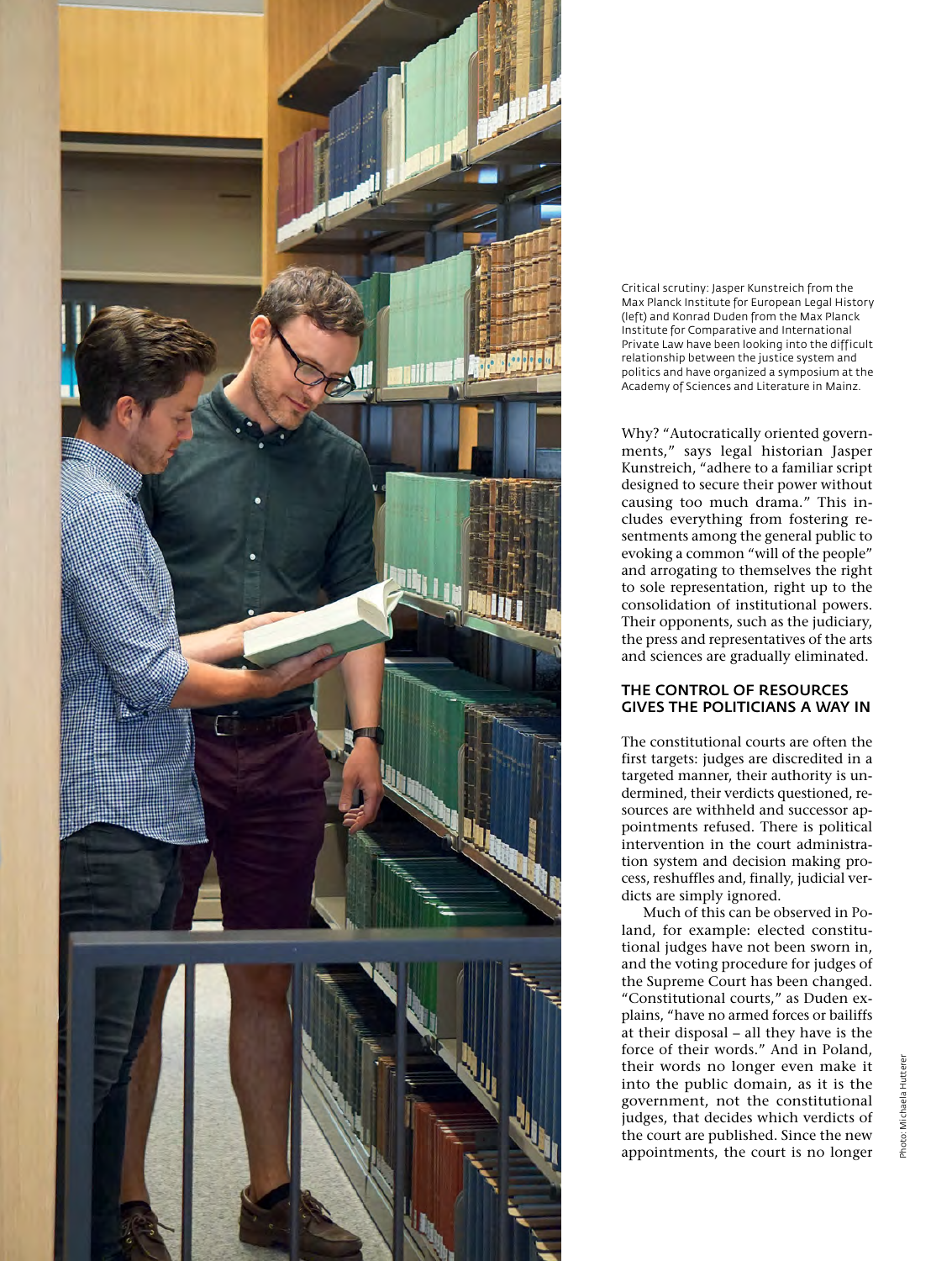

Critical scrutiny: Jasper Kunstreich from the Max Planck Institute for European Legal History (left) and Konrad Duden from the Max Planck Institute for Comparative and International Private Law have been looking into the difficult relationship between the justice system and politics and have organized a symposium at the Academy of Sciences and Literature in Mainz.

Why? "Autocratically oriented governments," says legal historian Jasper Kunstreich, "adhere to a familiar script designed to secure their power without causing too much drama." This includes everything from fostering resentments among the general public to evoking a common "will of the people" and arrogating to themselves the right to sole representation, right up to the consolidation of institutional powers. Their opponents, such as the judiciary, the press and representatives of the arts and sciences are gradually eliminated.

#### THE CONTROL OF RESOURCES GIVES THE POLITICIANS A WAY IN

The constitutional courts are often the first targets: judges are discredited in a targeted manner, their authority is undermined, their verdicts questioned, resources are withheld and successor appointments refused. There is political intervention in the court administration system and decision making process, reshuffles and, finally, judicial verdicts are simply ignored.

Much of this can be observed in Poland, for example: elected constitutional judges have not been sworn in, and the voting procedure for judges of the Supreme Court has been changed. "Constitutional courts," as Duden explains, "have no armed forces or bailiffs at their disposal – all they have is the force of their words." And in Poland, their words no longer even make it into the public domain, as it is the government, not the constitutional judges, that decides which verdicts of the court are published. Since the new appointments, the court is no longer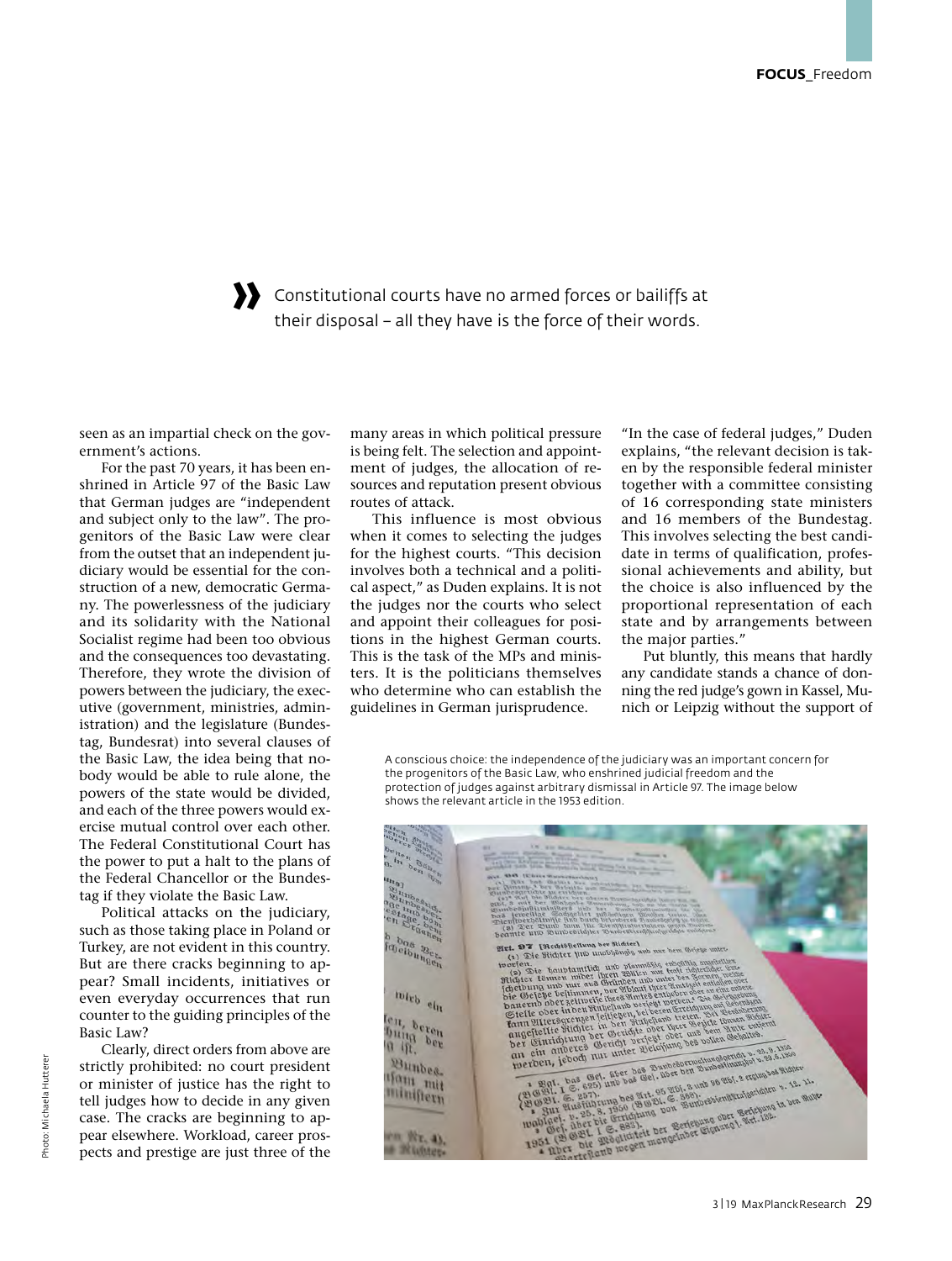» Constitutional courts have no armed forces or bailiffs at their disposal – all they have is the force of their words.

seen as an impartial check on the government's actions.

For the past 70 years, it has been enshrined in Article 97 of the Basic Law that German judges are "independent and subject only to the law". The progenitors of the Basic Law were clear from the outset that an independent judiciary would be essential for the construction of a new, democratic Germany. The powerlessness of the judiciary and its solidarity with the National Socialist regime had been too obvious and the consequences too devastating. Therefore, they wrote the division of powers between the judiciary, the executive (government, ministries, administration) and the legislature (Bundestag, Bundesrat) into several clauses of the Basic Law, the idea being that nobody would be able to rule alone, the powers of the state would be divided, and each of the three powers would exercise mutual control over each other. The Federal Constitutional Court has the power to put a halt to the plans of the Federal Chancellor or the Bundestag if they violate the Basic Law.

Political attacks on the judiciary, such as those taking place in Poland or Turkey, are not evident in this country. But are there cracks beginning to appear? Small incidents, initiatives or even everyday occurrences that run counter to the guiding principles of the Basic Law?

Clearly, direct orders from above are strictly prohibited: no court president or minister of justice has the right to tell judges how to decide in any given case. The cracks are beginning to appear elsewhere. Workload, career prospects and prestige are just three of the

many areas in which political pressure is being felt. The selection and appointment of judges, the allocation of resources and reputation present obvious routes of attack.

This influence is most obvious when it comes to selecting the judges for the highest courts. "This decision involves both a technical and a political aspect," as Duden explains. It is not the judges nor the courts who select and appoint their colleagues for positions in the highest German courts. This is the task of the MPs and ministers. It is the politicians themselves who determine who can establish the guidelines in German jurisprudence.

"In the case of federal judges," Duden explains, "the relevant decision is taken by the responsible federal minister together with a committee consisting of 16 corresponding state ministers and 16 members of the Bundestag. This involves selecting the best candidate in terms of qualification, professional achievements and ability, but the choice is also influenced by the proportional representation of each state and by arrangements between the major parties."

Put bluntly, this means that hardly any candidate stands a chance of donning the red judge's gown in Kassel, Munich or Leipzig without the support of

A conscious choice: the independence of the judiciary was an important concern for the progenitors of the Basic Law, who enshrined judicial freedom and the protection of judges against arbitrary dismissal in Article 97. The image below shows the relevant article in the 1953 edition.

Art. OF Inconstitution ber Alchier) Fri. 9 F (1968)<br>Friedrich and der Weissels und mit bem Gejete unter Weissels und der Weissels und der Gestellen und der Gestellen und der Schlichten und der Schlichten und der Gestellen und der Schlichten und der Schlichte Die Richter find una holrb ein len, beren<br>Dung ber<br>'û ift, ber Bunbes. fiber bas Bunber . ilber ben Bunoconi<br>. 95 Abi. 3 und 96 Abi. 2 erain<br>. 95 Abi. 3 und 96 Abinistraiaeri fam mit 0. 12. 11. miniftern una in ben Aube There is a constant of the second that the second the second the second the second of the second of the second of the second of the second of the second of the second of the second of the second of the second of the second bet. I S. 883).<br>BL. I S. Bilditeit ber Berles<br>Die Wöglichteit mangelnder 10 Rr. 4). Richter-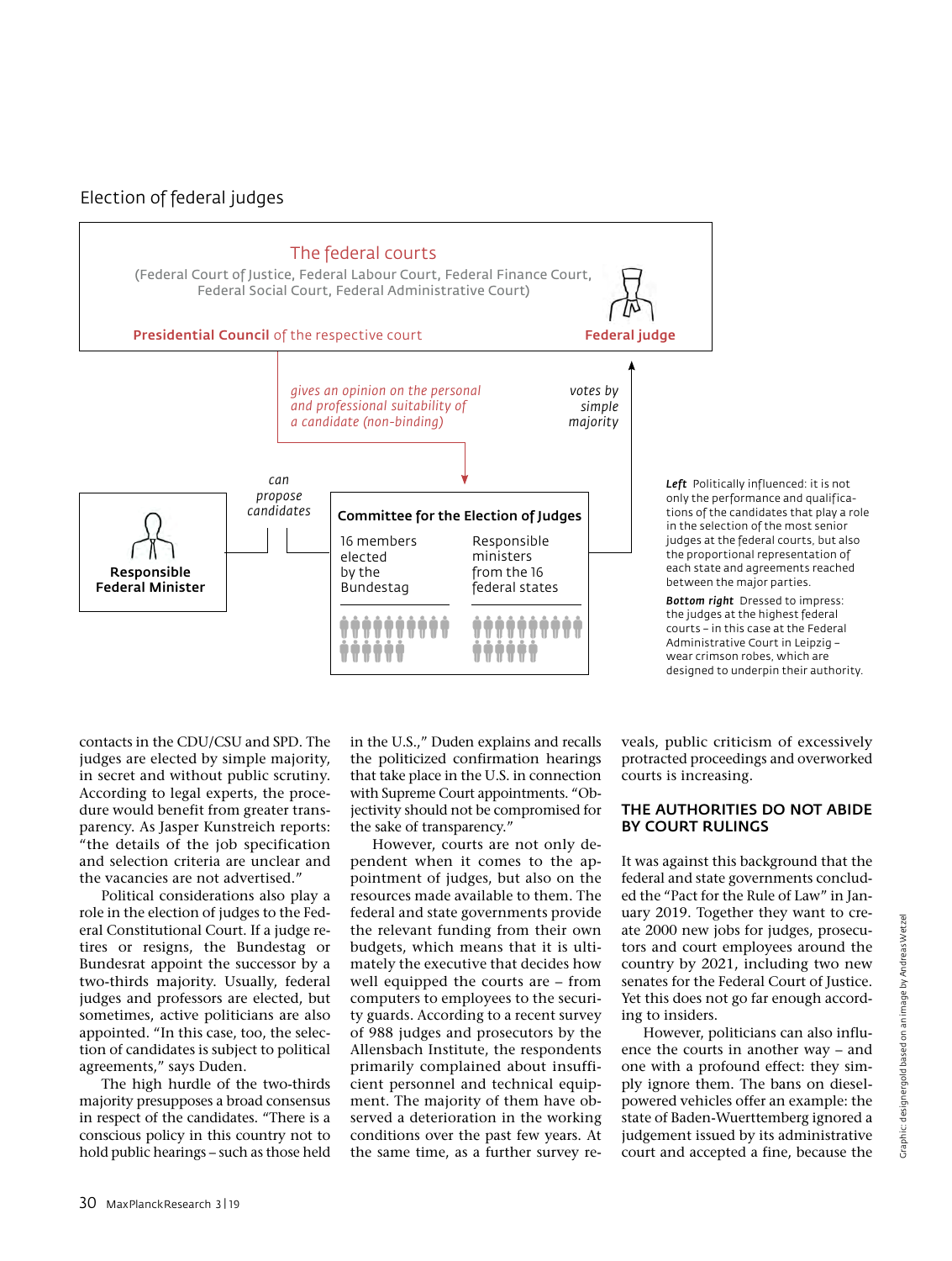### Election of federal judges



*Left* Politically influenced: it is not only the performance and qualifications of the candidates that play a role in the selection of the most senior judges at the federal courts, but also the proportional representation of each state and agreements reached between the major parties.

*Bottom right* Dressed to impress: the judges at the highest federal courts – in this case at the Federal Administrative Court in Leipzig – wear crimson robes, which are designed to underpin their authority.

contacts in the CDU/CSU and SPD. The judges are elected by simple majority, in secret and without public scrutiny. According to legal experts, the procedure would benefit from greater transparency. As Jasper Kunstreich reports: "the details of the job specification and selection criteria are unclear and the vacancies are not advertised."

Political considerations also play a role in the election of judges to the Federal Constitutional Court. If a judge retires or resigns, the Bundestag or Bundesrat appoint the successor by a two-thirds majority. Usually, federal judges and professors are elected, but sometimes, active politicians are also appointed. "In this case, too, the selection of candidates is subject to political agreements," says Duden.

The high hurdle of the two-thirds majority presupposes a broad consensus in respect of the candidates. "There is a conscious policy in this country not to hold public hearings – such as those held

in the U.S.," Duden explains and recalls the politicized confirmation hearings that take place in the U.S. in connection with Supreme Court appointments. "Objectivity should not be compromised for the sake of transparency."

However, courts are not only dependent when it comes to the appointment of judges, but also on the resources made available to them. The federal and state governments provide the relevant funding from their own budgets, which means that it is ultimately the executive that decides how well equipped the courts are – from computers to employees to the security guards. According to a recent survey of 988 judges and prosecutors by the Allensbach Institute, the respondents primarily complained about insufficient personnel and technical equipment. The majority of them have observed a deterioration in the working conditions over the past few years. At the same time, as a further survey reveals, public criticism of excessively protracted proceedings and overworked courts is increasing.

#### THE AUTHORITIES DO NOT ABIDE BY COURT RULINGS

It was against this background that the federal and state governments concluded the "Pact for the Rule of Law" in January 2019. Together they want to create 2000 new jobs for judges, prosecutors and court employees around the country by 2021, including two new senates for the Federal Court of Justice. Yet this does not go far enough according to insiders.

However, politicians can also influence the courts in another way – and one with a profound effect: they simply ignore them. The bans on dieselpowered vehicles offer an example: the state of Baden-Wuerttemberg ignored a judgement issued by its administrative court and accepted a fine, because the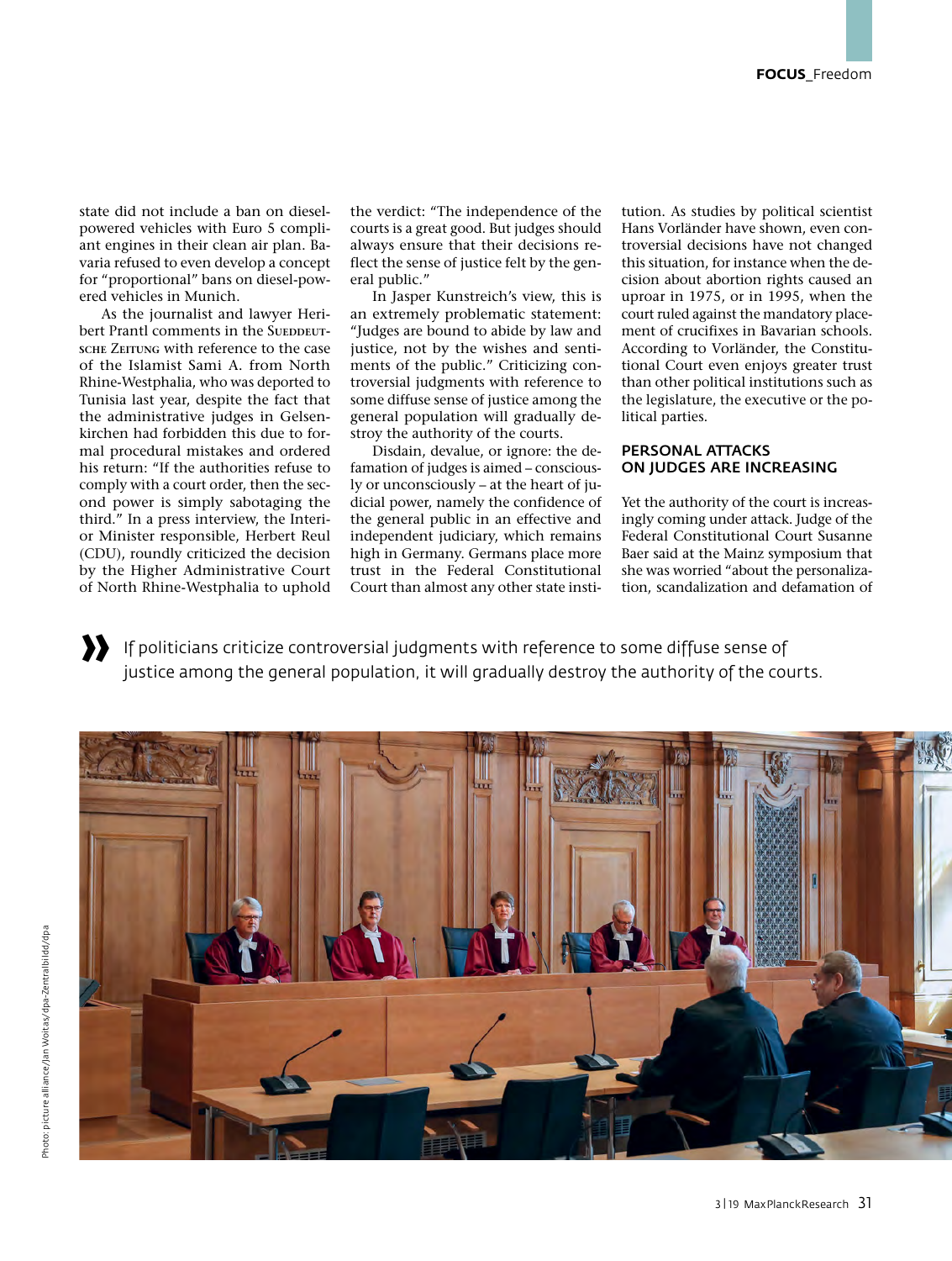state did not include a ban on dieselpowered vehicles with Euro 5 compliant engines in their clean air plan. Bavaria refused to even develop a concept for "proportional" bans on diesel-powered vehicles in Munich.

As the journalist and lawyer Heribert Prantl comments in the Surppreur**sche** Z**eitung** with reference to the case of the Islamist Sami A. from North Rhine-Westphalia, who was deported to Tunisia last year, despite the fact that the administrative judges in Gelsenkirchen had forbidden this due to formal procedural mistakes and ordered his return: "If the authorities refuse to comply with a court order, then the second power is simply sabotaging the third." In a press interview, the Interior Minister responsible, Herbert Reul (CDU), roundly criticized the decision by the Higher Administrative Court of North Rhine-Westphalia to uphold

the verdict: "The independence of the courts is a great good. But judges should always ensure that their decisions reflect the sense of justice felt by the general public."

In Jasper Kunstreich's view, this is an extremely problematic statement: "Judges are bound to abide by law and justice, not by the wishes and sentiments of the public." Criticizing controversial judgments with reference to some diffuse sense of justice among the general population will gradually destroy the authority of the courts.

Disdain, devalue, or ignore: the defamation of judges is aimed – consciously or unconsciously – at the heart of judicial power, namely the confidence of the general public in an effective and independent judiciary, which remains high in Germany. Germans place more trust in the Federal Constitutional Court than almost any other state institution. As studies by political scientist Hans Vorländer have shown, even controversial decisions have not changed this situation, for instance when the decision about abortion rights caused an uproar in 1975, or in 1995, when the court ruled against the mandatory placement of crucifixes in Bavarian schools. According to Vorländer, the Constitutional Court even enjoys greater trust than other political institutions such as the legislature, the executive or the political parties.

#### PERSONAL ATTACKS ON JUDGES ARE INCREASING

Yet the authority of the court is increasingly coming under attack. Judge of the Federal Constitutional Court Susanne Baer said at the Mainz symposium that she was worried "about the personalization, scandalization and defamation of

» If politicians criticize controversial judgments with reference to some diffuse sense of justice among the general population, it will gradually destroy the authority of the courts.

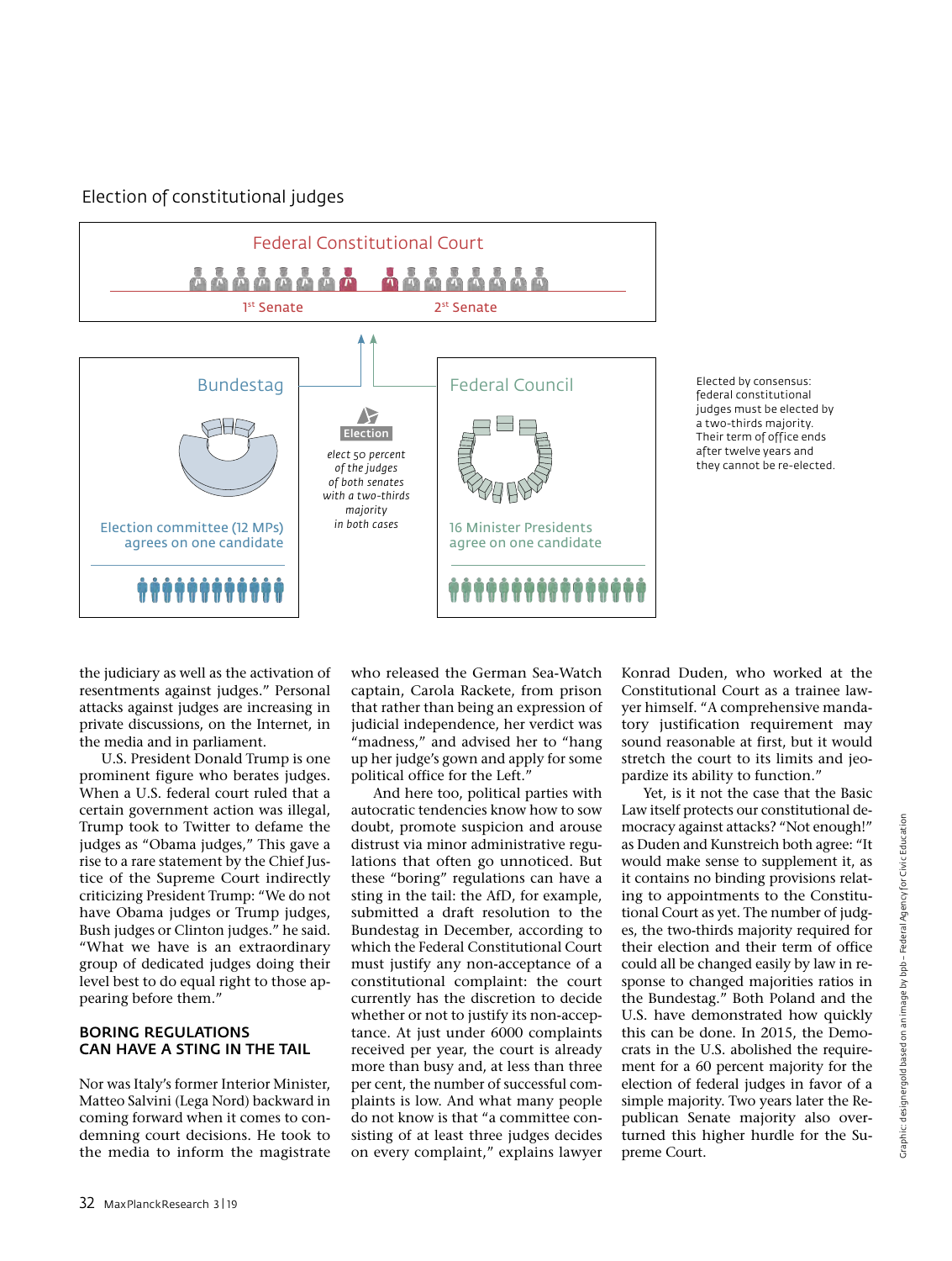## Election of constitutional judges





the judiciary as well as the activation of resentments against judges." Personal attacks against judges are increasing in private discussions, on the Internet, in the media and in parliament.

U.S. President Donald Trump is one prominent figure who berates judges. When a U.S. federal court ruled that a certain government action was illegal, Trump took to Twitter to defame the judges as "Obama judges," This gave a rise to a rare statement by the Chief Justice of the Supreme Court indirectly criticizing President Trump: "We do not have Obama judges or Trump judges, Bush judges or Clinton judges." he said. "What we have is an extraordinary group of dedicated judges doing their level best to do equal right to those appearing before them."

#### BORING REGULATIONS CAN HAVE A STING IN THE TAIL

Nor was Italy's former Interior Minister, Matteo Salvini (Lega Nord) backward in coming forward when it comes to condemning court decisions. He took to the media to inform the magistrate

who released the German Sea-Watch captain, Carola Rackete, from prison that rather than being an expression of judicial independence, her verdict was "madness," and advised her to "hang up her judge's gown and apply for some political office for the Left."

And here too, political parties with autocratic tendencies know how to sow doubt, promote suspicion and arouse distrust via minor administrative regulations that often go unnoticed. But these "boring" regulations can have a sting in the tail: the AfD, for example, submitted a draft resolution to the Bundestag in December, according to which the Federal Constitutional Court must justify any non-acceptance of a constitutional complaint: the court currently has the discretion to decide whether or not to justify its non-acceptance. At just under 6000 complaints received per year, the court is already more than busy and, at less than three per cent, the number of successful complaints is low. And what many people do not know is that "a committee consisting of at least three judges decides on every complaint," explains lawyer

Konrad Duden, who worked at the Constitutional Court as a trainee lawyer himself. "A comprehensive mandatory justification requirement may sound reasonable at first, but it would stretch the court to its limits and jeopardize its ability to function."

Yet, is it not the case that the Basic Law itself protects our constitutional democracy against attacks? "Not enough!" as Duden and Kunstreich both agree: "It would make sense to supplement it, as it contains no binding provisions relating to appointments to the Constitutional Court as yet. The number of judges, the two-thirds majority required for their election and their term of office could all be changed easily by law in response to changed majorities ratios in the Bundestag." Both Poland and the U.S. have demonstrated how quickly this can be done. In 2015, the Democrats in the U.S. abolished the requirement for a 60 percent majority for the election of federal judges in favor of a simple majority. Two years later the Republican Senate majority also overturned this higher hurdle for the Supreme Court.